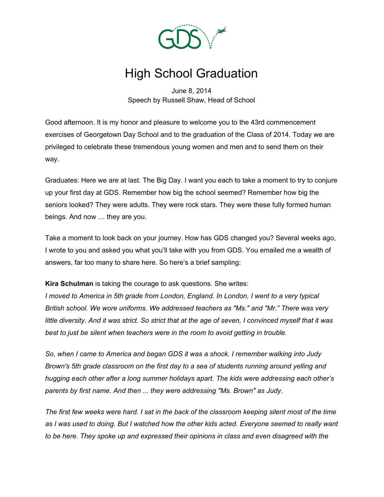

# High School Graduation

June 8, 2014 Speech by Russell Shaw, Head of School

Good afternoon. It is my honor and pleasure to welcome you to the 43rd commencement exercises of Georgetown Day School and to the graduation of the Class of 2014. Today we are privileged to celebrate these tremendous young women and men and to send them on their way.

Graduates: Here we are at last. The Big Day. I want you each to take a moment to try to conjure up your first day at GDS. Remember how big the school seemed? Remember how big the seniors looked? They were adults. They were rock stars. They were these fully formed human beings. And now … they are you.

Take a moment to look back on your journey. How has GDS changed you? Several weeks ago, I wrote to you and asked you what you'll take with you from GDS. You emailed me a wealth of answers, far too many to share here. So here's a brief sampling:

**Kira Schulman** is taking the courage to ask questions. She writes:

*I moved to America in 5th grade from London, England. In London, I went to a very typical British school. We wore uniforms. We addressed teachers as "Ms." and "Mr." There was very* little diversity. And it was strict. So strict that at the age of seven, I convinced myself that it was *best to just be silent when teachers were in the room to avoid getting in trouble.*

*So, when I came to America and began GDS it was a shock. I remember walking into Judy Brown's 5th grade classroom on the first day to a sea of students running around yelling and hugging each other after a long summer holidays apart. The kids were addressing each other's parents by first name. And then ... they were addressing "Ms. Brown" as Judy.*

The first few weeks were hard. I sat in the back of the classroom keeping silent most of the time as I was used to doing. But I watched how the other kids acted. Everyone seemed to really want *to be here. They spoke up and expressed their opinions in class and even disagreed with the*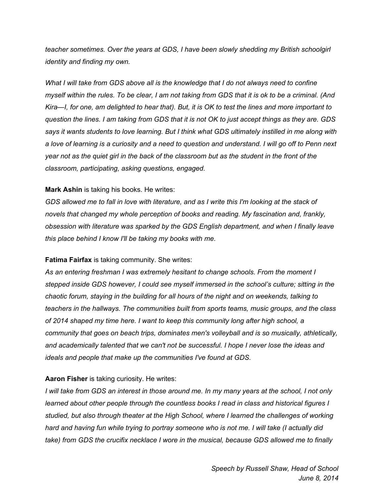*teacher sometimes. Over the years at GDS, I have been slowly shedding my British schoolgirl identity and finding my own.*

*What I will take from GDS above all is the knowledge that I do not always need to confine* myself within the rules. To be clear, I am not taking from GDS that it is ok to be a criminal. (And Kira—I, for one, am delighted to hear that). But, it is OK to test the lines and more important to question the lines. I am taking from GDS that it is not OK to just accept things as they are. GDS says it wants students to love learning. But I think what GDS ultimately instilled in me along with a love of learning is a curiosity and a need to question and understand. I will go off to Penn next year not as the quiet girl in the back of the classroom but as the student in the front of the *classroom, participating, asking questions, engaged.*

## **Mark Ashin** is taking his books. He writes:

GDS allowed me to fall in love with literature, and as I write this I'm looking at the stack of *novels that changed my whole perception of books and reading. My fascination and, frankly, obsession with literature was sparked by the GDS English department, and when I finally leave this place behind I know I'll be taking my books with me.*

### **Fatima Fairfax** is taking community. She writes:

*As an entering freshman I was extremely hesitant to change schools. From the moment I stepped inside GDS however, I could see myself immersed in the school's culture; sitting in the chaotic forum, staying in the building for all hours of the night and on weekends, talking to teachers in the hallways. The communities built from sports teams, music groups, and the class of 2014 shaped my time here. I want to keep this community long after high school, a community that goes on beach trips, dominates men's volleyball and is so musically, athletically, and academically talented that we can't not be successful. I hope I never lose the ideas and ideals and people that make up the communities I've found at GDS.*

## **Aaron Fisher** is taking curiosity. He writes:

I will take from GDS an interest in those around me. In my many years at the school, I not only *learned about other people through the countless books I read in class and historical figures I studied, but also through theater at the High School, where I learned the challenges of working* hard and having fun while trying to portray someone who is not me. I will take (I actually did *take) from GDS the crucifix necklace I wore in the musical, because GDS allowed me to finally*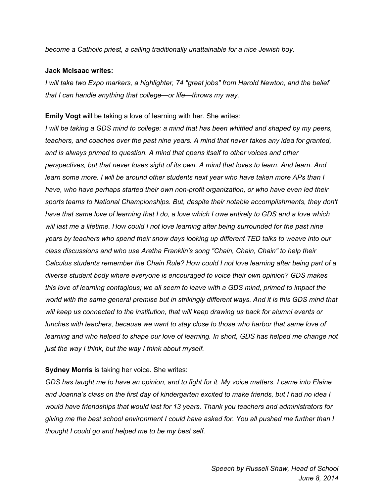*become a Catholic priest, a calling traditionally unattainable for a nice Jewish boy.*

#### **Jack McIsaac writes:**

*I will take two Expo markers, a highlighter, 74 "great jobs" from Harold Newton, and the belief that I can handle anything that college—or life—throws my way.*

**Emily Vogt** will be taking a love of learning with her. She writes:

I will be taking a GDS mind to college: a mind that has been whittled and shaped by my peers, *teachers, and coaches over the past nine years. A mind that never takes any idea for granted, and is always primed to question. A mind that opens itself to other voices and other perspectives, but that never loses sight of its own. A mind that loves to learn. And learn. And learn some more. I will be around other students next year who have taken more APs than I have, who have perhaps started their own non-profit organization, or who have even led their sports teams to National Championships. But, despite their notable accomplishments, they don't* have that same love of learning that I do, a love which I owe entirely to GDS and a love which *will last me a lifetime. How could I not love learning after being surrounded for the past nine years by teachers who spend their snow days looking up different TED talks to weave into our class discussions and who use Aretha Franklin's song "Chain, Chain, Chain" to help their Calculus students remember the Chain Rule? How could I not love learning after being part of a diverse student body where everyone is encouraged to voice their own opinion? GDS makes this love of learning contagious; we all seem to leave with a GDS mind, primed to impact the world with the same general premise but in strikingly different ways. And it is this GDS mind that will keep us connected to the institution, that will keep drawing us back for alumni events or lunches with teachers, because we want to stay close to those who harbor that same love of learning and who helped to shape our love of learning. In short, GDS has helped me change not just the way I think, but the way I think about myself.*

### **Sydney Morris** is taking her voice. She writes:

GDS has taught me to have an opinion, and to fight for it. My voice matters. I came into Elaine and Joanna's class on the first day of kindergarten excited to make friends, but I had no idea I *would have friendships that would last for 13 years. Thank you teachers and administrators for giving me the best school environment I could have asked for. You all pushed me further than I thought I could go and helped me to be my best self.*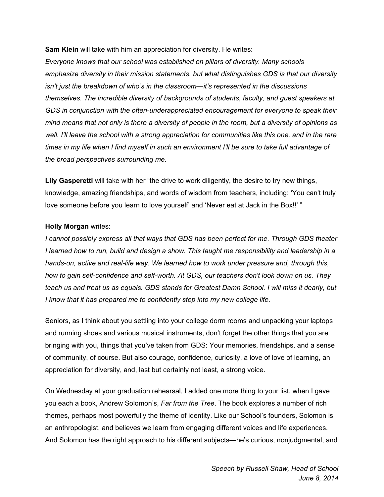**Sam Klein** will take with him an appreciation for diversity. He writes:

*Everyone knows that our school was established on pillars of diversity. Many schools emphasize diversity in their mission statements, but what distinguishes GDS is that our diversity isn't just the breakdown of who's in the classroom—it's represented in the discussions themselves. The incredible diversity of backgrounds of students, faculty, and guest speakers at GDS in conjunction with the often-underappreciated encouragement for everyone to speak their* mind means that not only is there a diversity of people in the room, but a diversity of opinions as well. I'll leave the school with a strong appreciation for communities like this one, and in the rare times in my life when I find myself in such an environment I'll be sure to take full advantage of *the broad perspectives surrounding me.*

**Lily Gasperetti** will take with her "the drive to work diligently, the desire to try new things, knowledge, amazing friendships, and words of wisdom from teachers, including: 'You can't truly love someone before you learn to love yourself' and 'Never eat at Jack in the Box!!' "

## **Holly Morgan** writes:

*I cannot possibly express all that ways that GDS has been perfect for me. Through GDS theater I learned how to run, build and design a show. This taught me responsibility and leadership in a hands-on, active and real-life way. We learned how to work under pressure and, through this, how to gain self-confidence and self-worth. At GDS, our teachers don't look down on us. They* teach us and treat us as equals. GDS stands for Greatest Damn School. I will miss it dearly, but *I know that it has prepared me to confidently step into my new college life.*

Seniors, as I think about you settling into your college dorm rooms and unpacking your laptops and running shoes and various musical instruments, don't forget the other things that you are bringing with you, things that you've taken from GDS: Your memories, friendships, and a sense of community, of course. But also courage, confidence, curiosity, a love of love of learning, an appreciation for diversity, and, last but certainly not least, a strong voice.

On Wednesday at your graduation rehearsal, I added one more thing to your list, when I gave you each a book, Andrew Solomon's, *Far from the Tree*. The book explores a number of rich themes, perhaps most powerfully the theme of identity. Like our School's founders, Solomon is an anthropologist, and believes we learn from engaging different voices and life experiences. And Solomon has the right approach to his different subjects—he's curious, nonjudgmental, and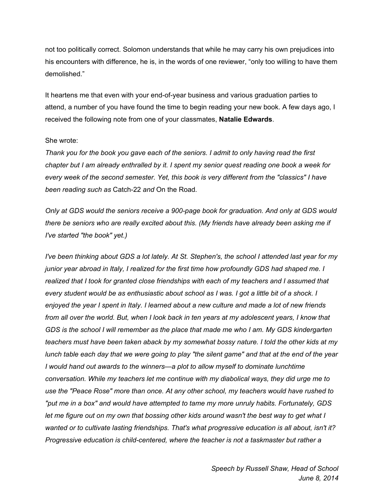not too politically correct. Solomon understands that while he may carry his own prejudices into his encounters with difference, he is, in the words of one reviewer, "only too willing to have them demolished."

It heartens me that even with your end-of-year business and various graduation parties to attend, a number of you have found the time to begin reading your new book. A few days ago, I received the following note from one of your classmates, **Natalie Edwards**.

#### She wrote:

*Thank you for the book you gave each of the seniors. I admit to only having read the first* chapter but I am already enthralled by it. I spent my senior quest reading one book a week for *every week of the second semester. Yet, this book is very different from the "classics" I have been reading such as* Catch-22 *and* On the Road*.*

*Only at GDS would the seniors receive a 900-page book for graduation. And only at GDS would there be seniors who are really excited about this. (My friends have already been asking me if I've started "the book" yet.)*

I've been thinking about GDS a lot lately. At St. Stephen's, the school I attended last year for my *junior year abroad in Italy, I realized for the first time how profoundly GDS had shaped me. I realized that I took for granted close friendships with each of my teachers and I assumed that* every student would be as enthusiastic about school as I was. I got a little bit of a shock. I enjoyed the year I spent in Italy. I learned about a new culture and made a lot of new friends from all over the world. But, when I look back in ten years at my adolescent years, I know that *GDS is the school I will remember as the place that made me who I am. My GDS kindergarten teachers must have been taken aback by my somewhat bossy nature. I told the other kids at my* lunch table each day that we were going to play "the silent game" and that at the end of the year *I would hand out awards to the winners—a plot to allow myself to dominate lunchtime conversation. While my teachers let me continue with my diabolical ways, they did urge me to use the "Peace Rose" more than once. At any other school, my teachers would have rushed to "put me in a box" and would have attempted to tame my more unruly habits. Fortunately, GDS* let me figure out on my own that bossing other kids around wasn't the best way to get what I *wanted or to cultivate lasting friendships. That's what progressive education is all about, isn't it? Progressive education is child-centered, where the teacher is not a taskmaster but rather a*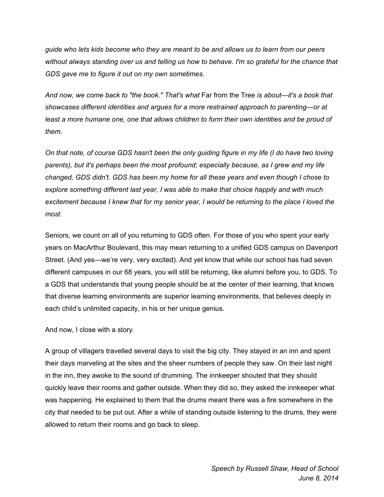*guide who lets kids become who they are meant to be and allows us to learn from our peers without always standing over us and telling us how to behave. I'm so grateful for the chance that GDS gave me to figure it out on my own sometimes.*

*And now, we come back to "the book." That's what* Far from the Tree *is about—it's a book that showcases different identities and argues for a more restrained approach to parenting—or at least a more humane one, one that allows children to form their own identities and be proud of them.*

On that note, of course GDS hasn't been the only guiding figure in my life (I do have two loving *parents), but it's perhaps been the most profound; especially because, as I grew and my life changed, GDS didn't. GDS has been my home for all these years and even though I chose to explore something different last year, I was able to make that choice happily and with much* excitement because I knew that for my senior year, I would be returning to the place I loved the *most.*

Seniors, we count on all of you returning to GDS often. For those of you who spent your early years on MacArthur Boulevard, this may mean returning to a unified GDS campus on Davenport Street. (And yes—we're very, very excited). And yet know that while our school has had seven different campuses in our 68 years, you will still be returning, like alumni before you, to GDS. To a GDS that understands that young people should be at the center of their learning, that knows that diverse learning environments are superior learning environments, that believes deeply in each child's unlimited capacity, in his or her unique genius.

And now, I close with a story.

A group of villagers travelled several days to visit the big city. They stayed in an inn and spent their days marveling at the sites and the sheer numbers of people they saw. On their last night in the inn, they awoke to the sound of drumming. The innkeeper shouted that they should quickly leave their rooms and gather outside. When they did so, they asked the innkeeper what was happening. He explained to them that the drums meant there was a fire somewhere in the city that needed to be put out. After a while of standing outside listening to the drums, they were allowed to return their rooms and go back to sleep.